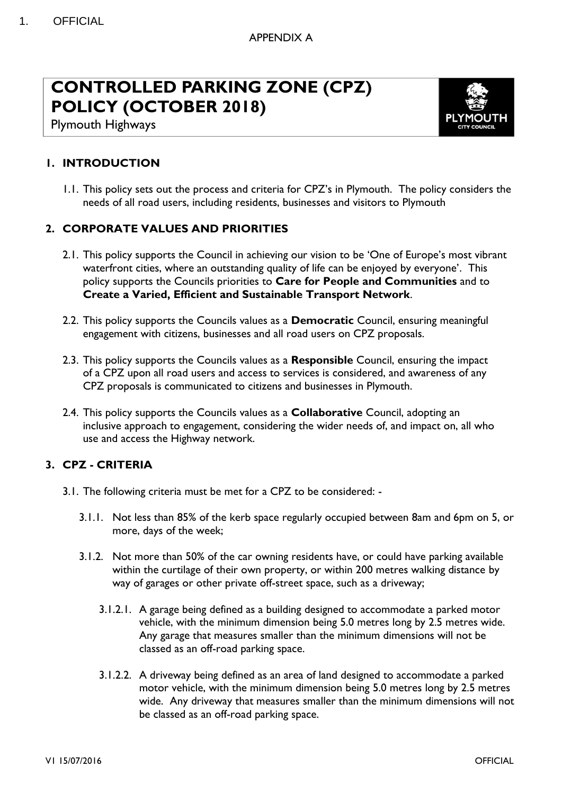# **CONTROLLED PARKING ZONE (CPZ) POLICY (OCTOBER 2018)**

Plymouth Highways



## **1. INTRODUCTION**

1.1. This policy sets out the process and criteria for CPZ's in Plymouth. The policy considers the needs of all road users, including residents, businesses and visitors to Plymouth

### **2. CORPORATE VALUES AND PRIORITIES**

- 2.1. This policy supports the Council in achieving our vision to be 'One of Europe's most vibrant waterfront cities, where an outstanding quality of life can be enjoyed by everyone'. This policy supports the Councils priorities to **Care for People and Communities** and to **Create a Varied, Efficient and Sustainable Transport Network**.
- 2.2. This policy supports the Councils values as a **Democratic** Council, ensuring meaningful engagement with citizens, businesses and all road users on CPZ proposals.
- 2.3. This policy supports the Councils values as a **Responsible** Council, ensuring the impact of a CPZ upon all road users and access to services is considered, and awareness of any CPZ proposals is communicated to citizens and businesses in Plymouth.
- 2.4. This policy supports the Councils values as a **Collaborative** Council, adopting an inclusive approach to engagement, considering the wider needs of, and impact on, all who use and access the Highway network.

## **3. CPZ - CRITERIA**

- 3.1. The following criteria must be met for a CPZ to be considered:
	- 3.1.1. Not less than 85% of the kerb space regularly occupied between 8am and 6pm on 5, or more, days of the week;
	- 3.1.2. Not more than 50% of the car owning residents have, or could have parking available within the curtilage of their own property, or within 200 metres walking distance by way of garages or other private off-street space, such as a driveway;
		- 3.1.2.1. A garage being defined as a building designed to accommodate a parked motor vehicle, with the minimum dimension being 5.0 metres long by 2.5 metres wide. Any garage that measures smaller than the minimum dimensions will not be classed as an off-road parking space.
		- 3.1.2.2. A driveway being defined as an area of land designed to accommodate a parked motor vehicle, with the minimum dimension being 5.0 metres long by 2.5 metres wide. Any driveway that measures smaller than the minimum dimensions will not be classed as an off-road parking space.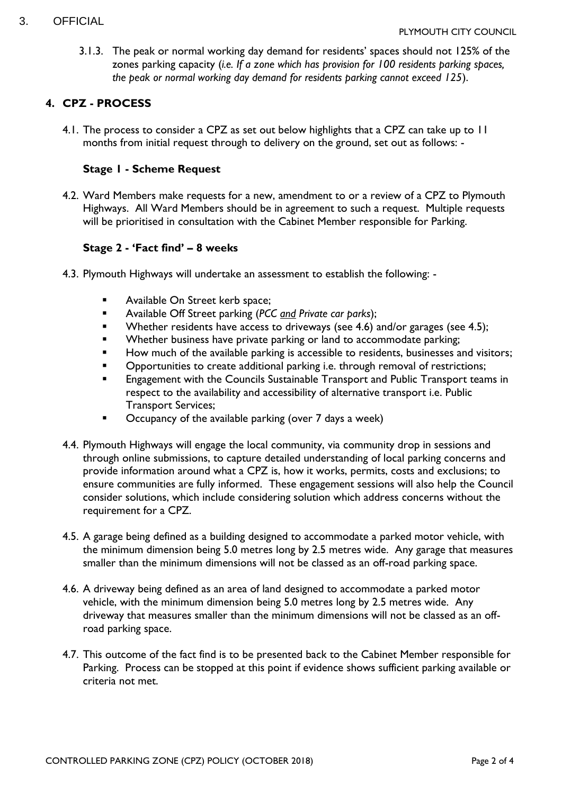#### 3. OFFICIAL

3.1.3. The peak or normal working day demand for residents' spaces should not 125% of the zones parking capacity (*i.e. If a zone which has provision for 100 residents parking spaces, the peak or normal working day demand for residents parking cannot exceed 125*).

## **4. CPZ - PROCESS**

4.1. The process to consider a CPZ as set out below highlights that a CPZ can take up to 11 months from initial request through to delivery on the ground, set out as follows: -

## **Stage 1 - Scheme Request**

4.2. Ward Members make requests for a new, amendment to or a review of a CPZ to Plymouth Highways. All Ward Members should be in agreement to such a request. Multiple requests will be prioritised in consultation with the Cabinet Member responsible for Parking.

### **Stage 2 - 'Fact find' – 8 weeks**

- 4.3. Plymouth Highways will undertake an assessment to establish the following:
	- **Available On Street kerb space;**
	- Available Off Street parking (*PCC and Private car parks*);
	- Whether residents have access to driveways (see 4.6) and/or garages (see 4.5);
	- Whether business have private parking or land to accommodate parking;
	- How much of the available parking is accessible to residents, businesses and visitors;
	- Opportunities to create additional parking i.e. through removal of restrictions;
	- Engagement with the Councils Sustainable Transport and Public Transport teams in respect to the availability and accessibility of alternative transport i.e. Public Transport Services;
	- Occupancy of the available parking (over 7 days a week)
- 4.4. Plymouth Highways will engage the local community, via community drop in sessions and through online submissions, to capture detailed understanding of local parking concerns and provide information around what a CPZ is, how it works, permits, costs and exclusions; to ensure communities are fully informed. These engagement sessions will also help the Council consider solutions, which include considering solution which address concerns without the requirement for a CPZ.
- 4.5. A garage being defined as a building designed to accommodate a parked motor vehicle, with the minimum dimension being 5.0 metres long by 2.5 metres wide. Any garage that measures smaller than the minimum dimensions will not be classed as an off-road parking space.
- 4.6. A driveway being defined as an area of land designed to accommodate a parked motor vehicle, with the minimum dimension being 5.0 metres long by 2.5 metres wide. Any driveway that measures smaller than the minimum dimensions will not be classed as an offroad parking space.
- 4.7. This outcome of the fact find is to be presented back to the Cabinet Member responsible for Parking. Process can be stopped at this point if evidence shows sufficient parking available or criteria not met.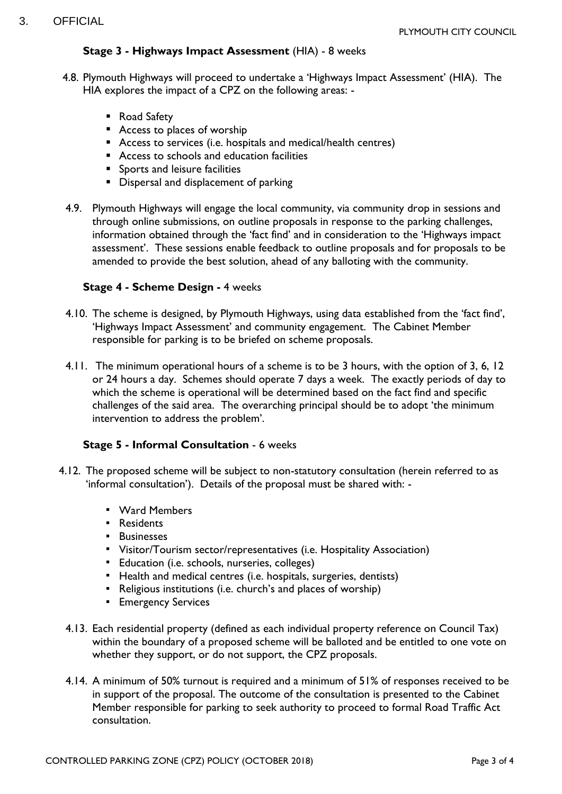### **Stage 3 - Highways Impact Assessment** (HIA) - 8 weeks

- 4.8. Plymouth Highways will proceed to undertake a 'Highways Impact Assessment' (HIA). The HIA explores the impact of a CPZ on the following areas: -
	- Road Safety
	- Access to places of worship
	- Access to services (i.e. hospitals and medical/health centres)
	- Access to schools and education facilities
	- **Sports and leisure facilities**
	- Dispersal and displacement of parking
- 4.9. Plymouth Highways will engage the local community, via community drop in sessions and through online submissions, on outline proposals in response to the parking challenges, information obtained through the 'fact find' and in consideration to the 'Highways impact assessment'. These sessions enable feedback to outline proposals and for proposals to be amended to provide the best solution, ahead of any balloting with the community.

### **Stage 4 - Scheme Design -** 4 weeks

- 4.10. The scheme is designed, by Plymouth Highways, using data established from the 'fact find', 'Highways Impact Assessment' and community engagement. The Cabinet Member responsible for parking is to be briefed on scheme proposals.
- 4.11. The minimum operational hours of a scheme is to be 3 hours, with the option of 3, 6, 12 or 24 hours a day. Schemes should operate 7 days a week. The exactly periods of day to which the scheme is operational will be determined based on the fact find and specific challenges of the said area. The overarching principal should be to adopt 'the minimum intervention to address the problem'.

#### **Stage 5 - Informal Consultation** - 6 weeks

- 4.12. The proposed scheme will be subject to non-statutory consultation (herein referred to as 'informal consultation'). Details of the proposal must be shared with: -
	- Ward Members
	- **Residents**
	- **Businesses**
	- Visitor/Tourism sector/representatives (i.e. Hospitality Association)
	- Education (i.e. schools, nurseries, colleges)
	- Health and medical centres (i.e. hospitals, surgeries, dentists)
	- Religious institutions (i.e. church's and places of worship)
	- **Emergency Services**
	- 4.13. Each residential property (defined as each individual property reference on Council Tax) within the boundary of a proposed scheme will be balloted and be entitled to one vote on whether they support, or do not support, the CPZ proposals.
	- 4.14. A minimum of 50% turnout is required and a minimum of 51% of responses received to be in support of the proposal. The outcome of the consultation is presented to the Cabinet Member responsible for parking to seek authority to proceed to formal Road Traffic Act consultation.